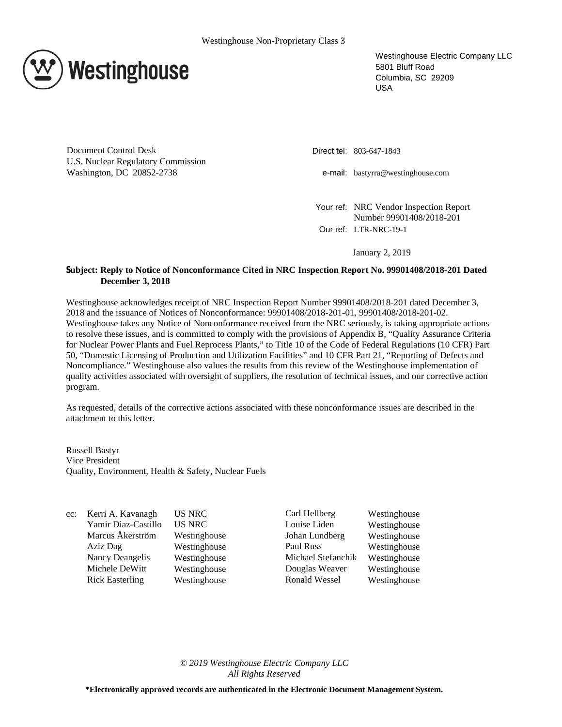

Westinghouse Electric Company LLC 5801 Bluff Road Columbia, SC 29209 USA

Document Control Desk U.S. Nuclear Regulatory Commission Washington, DC 20852-2738

Direct tel: 803-647-1843

e-mail: bastyrra@westinghouse.com

Your ref: NRC Vendor Inspection Report Number 99901408/2018-201 Our ref: LTR-NRC-19-1

January 2, 2019

# **Subject: Reply to Notice of Nonconformance Cited in NRC Inspection Report No. 99901408/2018-201 Dated December 3, 2018**

Westinghouse acknowledges receipt of NRC Inspection Report Number 99901408/2018-201 dated December 3, 2018 and the issuance of Notices of Nonconformance: 99901408/2018-201-01, 99901408/2018-201-02. Westinghouse takes any Notice of Nonconformance received from the NRC seriously, is taking appropriate actions to resolve these issues, and is committed to comply with the provisions of Appendix B, "Quality Assurance Criteria for Nuclear Power Plants and Fuel Reprocess Plants," to Title 10 of the Code of Federal Regulations (10 CFR) Part 50, "Domestic Licensing of Production and Utilization Facilities" and 10 CFR Part 21, "Reporting of Defects and Noncompliance." Westinghouse also values the results from this review of the Westinghouse implementation of quality activities associated with oversight of suppliers, the resolution of technical issues, and our corrective action program.

As requested, details of the corrective actions associated with these nonconformance issues are described in the attachment to this letter.

Russell Bastyr Vice President Quality, Environment, Health & Safety, Nuclear Fuels

cc: Kerri A. Kavanagh US NRC Carl Hellberg Westinghouse

Yamir Diaz-Castillo US NRC Louise Liden Westinghouse Marcus Åkerström Westinghouse Johan Lundberg Westinghouse Aziz Dag Westinghouse Paul Russ Westinghouse Nancy Deangelis Westinghouse Michael Stefanchik Westinghouse Michele DeWitt Westinghouse Douglas Weaver Westinghouse Rick Easterling Westinghouse Ronald Wessel Westinghouse

*© 2019 Westinghouse Electric Company LLC All Rights Reserved*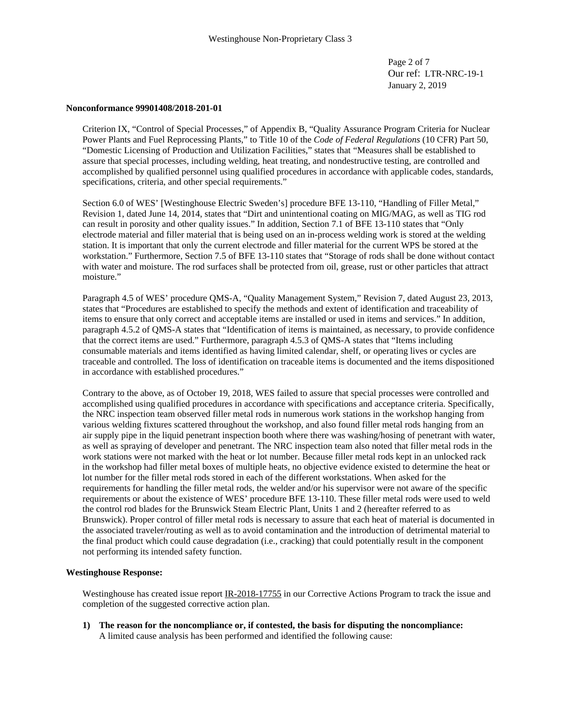Page 2 of 7 Our ref: LTR-NRC-19-1 January 2, 2019

## **Nonconformance 99901408/2018-201-01**

Criterion IX, "Control of Special Processes," of Appendix B, "Quality Assurance Program Criteria for Nuclear Power Plants and Fuel Reprocessing Plants," to Title 10 of the *Code of Federal Regulations* (10 CFR) Part 50, "Domestic Licensing of Production and Utilization Facilities," states that "Measures shall be established to assure that special processes, including welding, heat treating, and nondestructive testing, are controlled and accomplished by qualified personnel using qualified procedures in accordance with applicable codes, standards, specifications, criteria, and other special requirements."

Section 6.0 of WES' [Westinghouse Electric Sweden's] procedure BFE 13-110, "Handling of Filler Metal," Revision 1, dated June 14, 2014, states that "Dirt and unintentional coating on MIG/MAG, as well as TIG rod can result in porosity and other quality issues." In addition, Section 7.1 of BFE 13-110 states that "Only electrode material and filler material that is being used on an in-process welding work is stored at the welding station. It is important that only the current electrode and filler material for the current WPS be stored at the workstation." Furthermore, Section 7.5 of BFE 13-110 states that "Storage of rods shall be done without contact with water and moisture. The rod surfaces shall be protected from oil, grease, rust or other particles that attract moisture."

Paragraph 4.5 of WES' procedure QMS-A, "Quality Management System," Revision 7, dated August 23, 2013, states that "Procedures are established to specify the methods and extent of identification and traceability of items to ensure that only correct and acceptable items are installed or used in items and services." In addition, paragraph 4.5.2 of QMS-A states that "Identification of items is maintained, as necessary, to provide confidence that the correct items are used." Furthermore, paragraph 4.5.3 of QMS-A states that "Items including consumable materials and items identified as having limited calendar, shelf, or operating lives or cycles are traceable and controlled. The loss of identification on traceable items is documented and the items dispositioned in accordance with established procedures."

Contrary to the above, as of October 19, 2018, WES failed to assure that special processes were controlled and accomplished using qualified procedures in accordance with specifications and acceptance criteria. Specifically, the NRC inspection team observed filler metal rods in numerous work stations in the workshop hanging from various welding fixtures scattered throughout the workshop, and also found filler metal rods hanging from an air supply pipe in the liquid penetrant inspection booth where there was washing/hosing of penetrant with water, as well as spraying of developer and penetrant. The NRC inspection team also noted that filler metal rods in the work stations were not marked with the heat or lot number. Because filler metal rods kept in an unlocked rack in the workshop had filler metal boxes of multiple heats, no objective evidence existed to determine the heat or lot number for the filler metal rods stored in each of the different workstations. When asked for the requirements for handling the filler metal rods, the welder and/or his supervisor were not aware of the specific requirements or about the existence of WES' procedure BFE 13-110. These filler metal rods were used to weld the control rod blades for the Brunswick Steam Electric Plant, Units 1 and 2 (hereafter referred to as Brunswick). Proper control of filler metal rods is necessary to assure that each heat of material is documented in the associated traveler/routing as well as to avoid contamination and the introduction of detrimental material to the final product which could cause degradation (i.e., cracking) that could potentially result in the component not performing its intended safety function.

## **Westinghouse Response:**

Westinghouse has created issue report IR-2018-17755 in our Corrective Actions Program to track the issue and completion of the suggested corrective action plan.

**1) The reason for the noncompliance or, if contested, the basis for disputing the noncompliance:** A limited cause analysis has been performed and identified the following cause: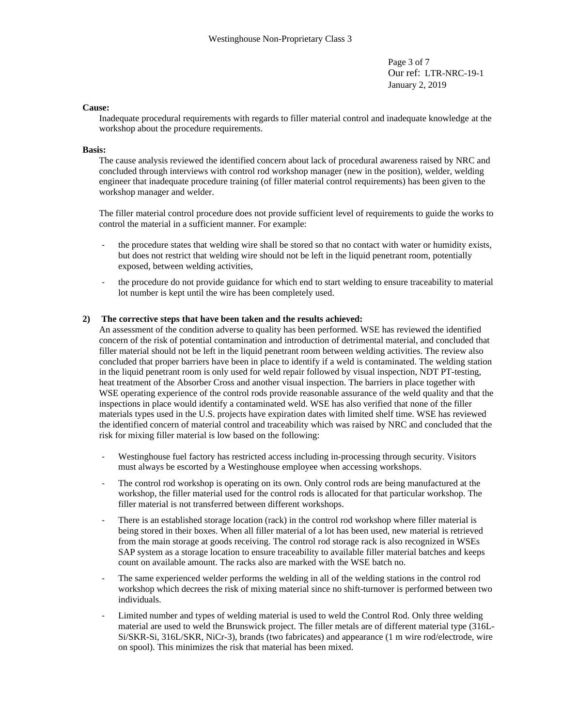Page 3 of 7 Our ref: LTR-NRC-19-1 January 2, 2019

## **Cause:**

Inadequate procedural requirements with regards to filler material control and inadequate knowledge at the workshop about the procedure requirements.

#### **Basis:**

The cause analysis reviewed the identified concern about lack of procedural awareness raised by NRC and concluded through interviews with control rod workshop manager (new in the position), welder, welding engineer that inadequate procedure training (of filler material control requirements) has been given to the workshop manager and welder.

The filler material control procedure does not provide sufficient level of requirements to guide the works to control the material in a sufficient manner. For example:

- the procedure states that welding wire shall be stored so that no contact with water or humidity exists, but does not restrict that welding wire should not be left in the liquid penetrant room, potentially exposed, between welding activities,
- the procedure do not provide guidance for which end to start welding to ensure traceability to material lot number is kept until the wire has been completely used.

#### **2) The corrective steps that have been taken and the results achieved:**

An assessment of the condition adverse to quality has been performed. WSE has reviewed the identified concern of the risk of potential contamination and introduction of detrimental material, and concluded that filler material should not be left in the liquid penetrant room between welding activities. The review also concluded that proper barriers have been in place to identify if a weld is contaminated. The welding station in the liquid penetrant room is only used for weld repair followed by visual inspection, NDT PT-testing, heat treatment of the Absorber Cross and another visual inspection. The barriers in place together with WSE operating experience of the control rods provide reasonable assurance of the weld quality and that the inspections in place would identify a contaminated weld. WSE has also verified that none of the filler materials types used in the U.S. projects have expiration dates with limited shelf time. WSE has reviewed the identified concern of material control and traceability which was raised by NRC and concluded that the risk for mixing filler material is low based on the following:

- Westinghouse fuel factory has restricted access including in-processing through security. Visitors must always be escorted by a Westinghouse employee when accessing workshops.
- The control rod workshop is operating on its own. Only control rods are being manufactured at the workshop, the filler material used for the control rods is allocated for that particular workshop. The filler material is not transferred between different workshops.
- There is an established storage location (rack) in the control rod workshop where filler material is being stored in their boxes. When all filler material of a lot has been used, new material is retrieved from the main storage at goods receiving. The control rod storage rack is also recognized in WSEs SAP system as a storage location to ensure traceability to available filler material batches and keeps count on available amount. The racks also are marked with the WSE batch no.
- The same experienced welder performs the welding in all of the welding stations in the control rod workshop which decrees the risk of mixing material since no shift-turnover is performed between two individuals.
- Limited number and types of welding material is used to weld the Control Rod. Only three welding material are used to weld the Brunswick project. The filler metals are of different material type (316L-Si/SKR-Si, 316L/SKR, NiCr-3), brands (two fabricates) and appearance (1 m wire rod/electrode, wire on spool). This minimizes the risk that material has been mixed.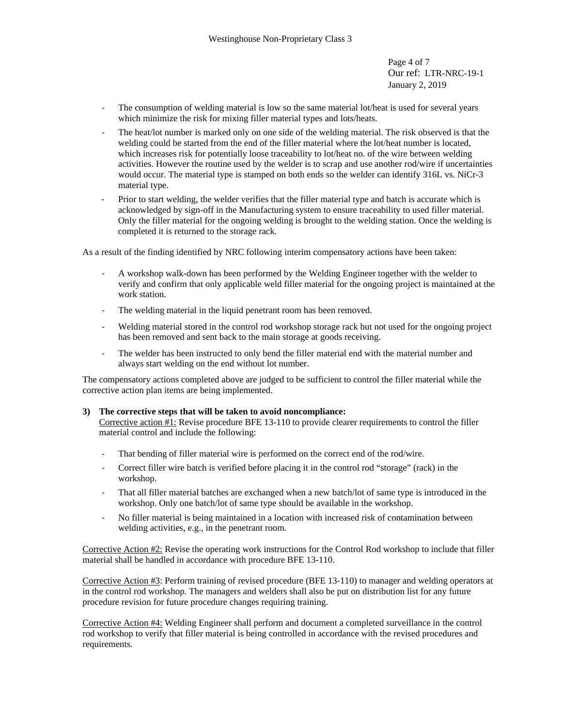Page 4 of 7 Our ref: LTR-NRC-19-1 January 2, 2019

- The consumption of welding material is low so the same material lot/heat is used for several years which minimize the risk for mixing filler material types and lots/heats.
- The heat/lot number is marked only on one side of the welding material. The risk observed is that the welding could be started from the end of the filler material where the lot/heat number is located, which increases risk for potentially loose traceability to lot/heat no. of the wire between welding activities. However the routine used by the welder is to scrap and use another rod/wire if uncertainties would occur. The material type is stamped on both ends so the welder can identify 316L vs. NiCr-3 material type.
- Prior to start welding, the welder verifies that the filler material type and batch is accurate which is acknowledged by sign-off in the Manufacturing system to ensure traceability to used filler material. Only the filler material for the ongoing welding is brought to the welding station. Once the welding is completed it is returned to the storage rack.

As a result of the finding identified by NRC following interim compensatory actions have been taken:

- A workshop walk-down has been performed by the Welding Engineer together with the welder to verify and confirm that only applicable weld filler material for the ongoing project is maintained at the work station.
- The welding material in the liquid penetrant room has been removed.
- Welding material stored in the control rod workshop storage rack but not used for the ongoing project has been removed and sent back to the main storage at goods receiving.
- The welder has been instructed to only bend the filler material end with the material number and always start welding on the end without lot number.

The compensatory actions completed above are judged to be sufficient to control the filler material while the corrective action plan items are being implemented.

# **3) The corrective steps that will be taken to avoid noncompliance:**

Corrective action #1: Revise procedure BFE 13-110 to provide clearer requirements to control the filler material control and include the following:

- That bending of filler material wire is performed on the correct end of the rod/wire.
- Correct filler wire batch is verified before placing it in the control rod "storage" (rack) in the workshop.
- That all filler material batches are exchanged when a new batch/lot of same type is introduced in the workshop. Only one batch/lot of same type should be available in the workshop.
- No filler material is being maintained in a location with increased risk of contamination between welding activities, e.g., in the penetrant room.

Corrective Action #2: Revise the operating work instructions for the Control Rod workshop to include that filler material shall be handled in accordance with procedure BFE 13-110.

Corrective Action #3: Perform training of revised procedure (BFE 13-110) to manager and welding operators at in the control rod workshop. The managers and welders shall also be put on distribution list for any future procedure revision for future procedure changes requiring training.

Corrective Action #4: Welding Engineer shall perform and document a completed surveillance in the control rod workshop to verify that filler material is being controlled in accordance with the revised procedures and requirements.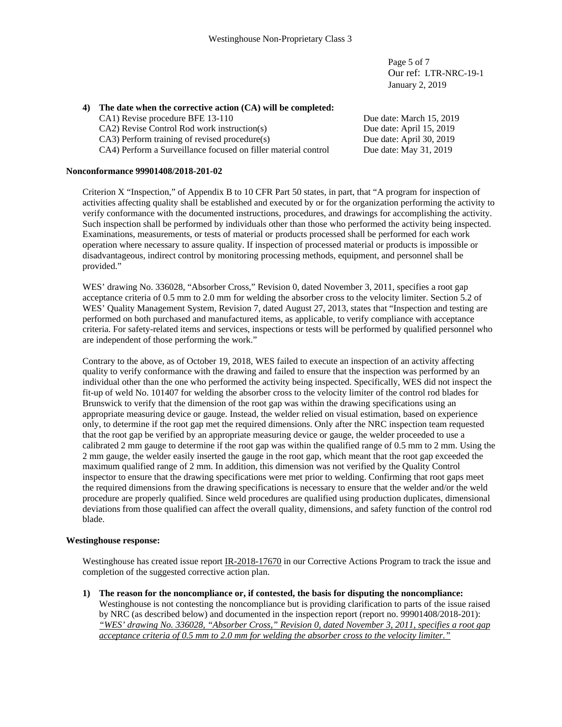Page 5 of 7 Our ref: LTR-NRC-19-1 January 2, 2019

# **4) The date when the corrective action (CA) will be completed:**

CA1) Revise procedure BFE 13-110 Due date: March 15, 2019 CA2) Revise Control Rod work instruction(s) Due date: April 15, 2019 CA3) Perform training of revised procedure(s) Due date: April 30, 2019 CA4) Perform a Surveillance focused on filler material control Due date: May 31, 2019

## **Nonconformance 99901408/2018-201-02**

Criterion X "Inspection," of Appendix B to 10 CFR Part 50 states, in part, that "A program for inspection of activities affecting quality shall be established and executed by or for the organization performing the activity to verify conformance with the documented instructions, procedures, and drawings for accomplishing the activity. Such inspection shall be performed by individuals other than those who performed the activity being inspected. Examinations, measurements, or tests of material or products processed shall be performed for each work operation where necessary to assure quality. If inspection of processed material or products is impossible or disadvantageous, indirect control by monitoring processing methods, equipment, and personnel shall be provided."

WES' drawing No. 336028, "Absorber Cross," Revision 0, dated November 3, 2011, specifies a root gap acceptance criteria of 0.5 mm to 2.0 mm for welding the absorber cross to the velocity limiter. Section 5.2 of WES' Quality Management System, Revision 7, dated August 27, 2013, states that "Inspection and testing are performed on both purchased and manufactured items, as applicable, to verify compliance with acceptance criteria. For safety-related items and services, inspections or tests will be performed by qualified personnel who are independent of those performing the work."

Contrary to the above, as of October 19, 2018, WES failed to execute an inspection of an activity affecting quality to verify conformance with the drawing and failed to ensure that the inspection was performed by an individual other than the one who performed the activity being inspected. Specifically, WES did not inspect the fit-up of weld No. 101407 for welding the absorber cross to the velocity limiter of the control rod blades for Brunswick to verify that the dimension of the root gap was within the drawing specifications using an appropriate measuring device or gauge. Instead, the welder relied on visual estimation, based on experience only, to determine if the root gap met the required dimensions. Only after the NRC inspection team requested that the root gap be verified by an appropriate measuring device or gauge, the welder proceeded to use a calibrated 2 mm gauge to determine if the root gap was within the qualified range of 0.5 mm to 2 mm. Using the 2 mm gauge, the welder easily inserted the gauge in the root gap, which meant that the root gap exceeded the maximum qualified range of 2 mm. In addition, this dimension was not verified by the Quality Control inspector to ensure that the drawing specifications were met prior to welding. Confirming that root gaps meet the required dimensions from the drawing specifications is necessary to ensure that the welder and/or the weld procedure are properly qualified. Since weld procedures are qualified using production duplicates, dimensional deviations from those qualified can affect the overall quality, dimensions, and safety function of the control rod blade.

## **Westinghouse response:**

Westinghouse has created issue report IR-2018-17670 in our Corrective Actions Program to track the issue and completion of the suggested corrective action plan.

**1) The reason for the noncompliance or, if contested, the basis for disputing the noncompliance:** Westinghouse is not contesting the noncompliance but is providing clarification to parts of the issue raised by NRC (as described below) and documented in the inspection report (report no. 99901408/2018-201): *"WES' drawing No. 336028, "Absorber Cross," Revision 0, dated November 3, 2011, specifies a root gap acceptance criteria of 0.5 mm to 2.0 mm for welding the absorber cross to the velocity limiter."*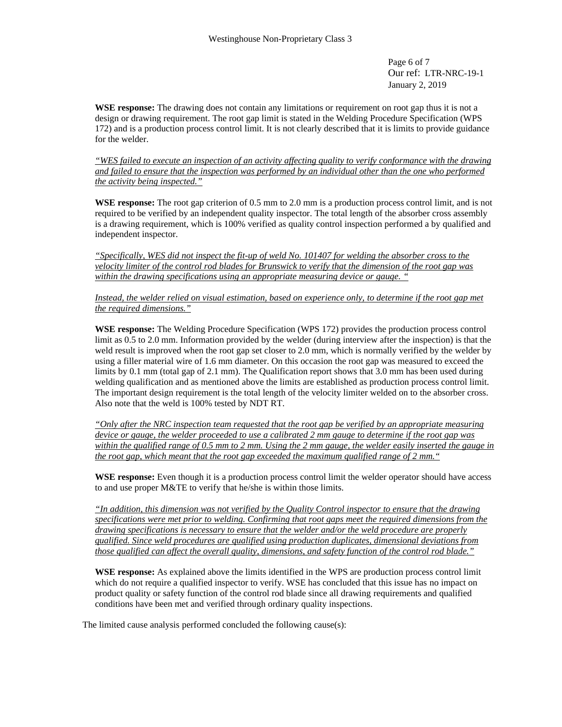Page 6 of 7 Our ref: LTR-NRC-19-1 January 2, 2019

**WSE response:** The drawing does not contain any limitations or requirement on root gap thus it is not a design or drawing requirement. The root gap limit is stated in the Welding Procedure Specification (WPS 172) and is a production process control limit. It is not clearly described that it is limits to provide guidance for the welder.

"WES failed to execute an inspection of an activity affecting quality to verify conformance with the drawing and failed to ensure that the inspection was performed by an individual other than the one who performed *the activity being inspected."*

**WSE response:** The root gap criterion of 0.5 mm to 2.0 mm is a production process control limit, and is not required to be verified by an independent quality inspector. The total length of the absorber cross assembly is a drawing requirement, which is 100% verified as quality control inspection performed a by qualified and independent inspector.

"Specifically, WES did not inspect the fit-up of weld No. 101407 for welding the absorber cross to the velocity limiter of the control rod blades for Brunswick to verify that the dimension of the root gap was *within the drawing specifications using an appropriate measuring device or gauge. "*

Instead, the welder relied on visual estimation, based on experience only, to determine if the root gap met *the required dimensions."*

**WSE response:** The Welding Procedure Specification (WPS 172) provides the production process control limit as 0.5 to 2.0 mm. Information provided by the welder (during interview after the inspection) is that the weld result is improved when the root gap set closer to 2.0 mm, which is normally verified by the welder by using a filler material wire of 1.6 mm diameter. On this occasion the root gap was measured to exceed the limits by 0.1 mm (total gap of 2.1 mm). The Qualification report shows that 3.0 mm has been used during welding qualification and as mentioned above the limits are established as production process control limit. The important design requirement is the total length of the velocity limiter welded on to the absorber cross. Also note that the weld is 100% tested by NDT RT.

*"Only after the NRC inspection team requested that the root gap be verified by an appropriate measuring* device or gauge, the welder proceeded to use a calibrated 2 mm gauge to determine if the root gap was within the qualified range of 0.5 mm to 2 mm. Using the 2 mm gauge, the welder easily inserted the gauge in *the root gap, which meant that the root gap exceeded the maximum qualified range of 2 mm."*

**WSE response:** Even though it is a production process control limit the welder operator should have access to and use proper M&TE to verify that he/she is within those limits.

*"In addition, this dimension was not verified by the Quality Control inspector to ensure that the drawing specifications were met prior to welding. Confirming that root gaps meet the required dimensions from the drawing specifications is necessary to ensure that the welder and/or the weld procedure are properly qualified. Since weld procedures are qualified using production duplicates, dimensional deviations from those qualified can affect the overall quality, dimensions, and safety function of the control rod blade."*

**WSE response:** As explained above the limits identified in the WPS are production process control limit which do not require a qualified inspector to verify. WSE has concluded that this issue has no impact on product quality or safety function of the control rod blade since all drawing requirements and qualified conditions have been met and verified through ordinary quality inspections.

The limited cause analysis performed concluded the following cause(s):